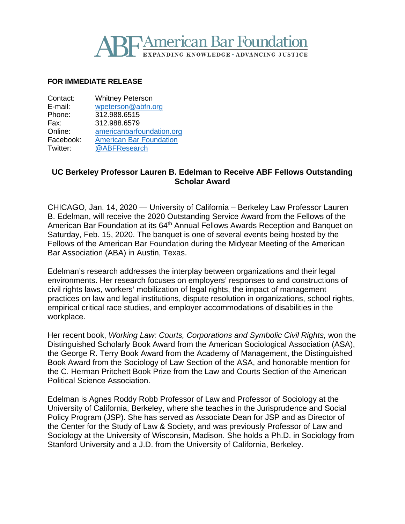# **American Bar Foundation IDING KNOWLEDGE • ADVANCING JUSTICE**

#### **FOR IMMEDIATE RELEASE**

| Contact:  | <b>Whitney Peterson</b>        |
|-----------|--------------------------------|
| E-mail:   | wpeterson@abfn.org             |
| Phone:    | 312.988.6515                   |
| Fax:      | 312.988.6579                   |
| Online:   | americanbarfoundation.org      |
| Facebook: | <b>American Bar Foundation</b> |
| Twitter:  | @ABFResearch                   |

### **UC Berkeley Professor Lauren B. Edelman to Receive ABF Fellows Outstanding Scholar Award**

CHICAGO, Jan. 14, 2020 — University of California – Berkeley Law Professor Lauren B. Edelman, will receive the 2020 Outstanding Service Award from the Fellows of the American Bar Foundation at its 64<sup>th</sup> Annual Fellows Awards Reception and Banquet on Saturday, Feb. 15, 2020. The banquet is one of several events being hosted by the Fellows of the American Bar Foundation during the Midyear Meeting of the American Bar Association (ABA) in Austin, Texas.

Edelman's research addresses the interplay between organizations and their legal environments. Her research focuses on employers' responses to and constructions of civil rights laws, workers' mobilization of legal rights, the impact of management practices on law and legal institutions, dispute resolution in organizations, school rights, empirical critical race studies, and employer accommodations of disabilities in the workplace.

Her recent book, *Working Law: Courts, Corporations and Symbolic Civil Rights,* won the Distinguished Scholarly Book Award from the American Sociological Association (ASA), the George R. Terry Book Award from the Academy of Management, the Distinguished Book Award from the Sociology of Law Section of the ASA, and honorable mention for the C. Herman Pritchett Book Prize from the Law and Courts Section of the American Political Science Association.

Edelman is Agnes Roddy Robb Professor of Law and Professor of Sociology at the University of California, Berkeley, where she teaches in the Jurisprudence and Social Policy Program (JSP). She has served as Associate Dean for JSP and as Director of the Center for the Study of Law & Society, and was previously Professor of Law and Sociology at the University of Wisconsin, Madison. She holds a Ph.D. in Sociology from Stanford University and a J.D. from the University of California, Berkeley.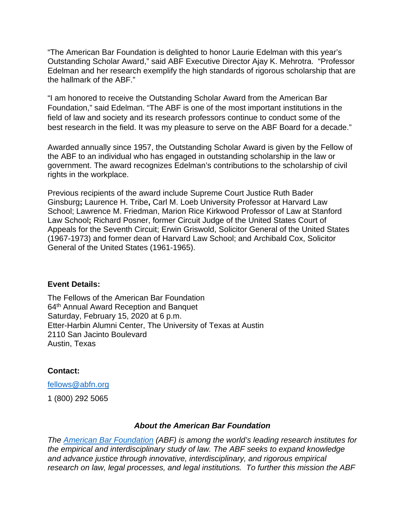"The American Bar Foundation is delighted to honor Laurie Edelman with this year's Outstanding Scholar Award," said ABF Executive Director Ajay K. Mehrotra. "Professor Edelman and her research exemplify the high standards of rigorous scholarship that are the hallmark of the ABF."

"I am honored to receive the Outstanding Scholar Award from the American Bar Foundation," said Edelman. "The ABF is one of the most important institutions in the field of law and society and its research professors continue to conduct some of the best research in the field. It was my pleasure to serve on the ABF Board for a decade."

Awarded annually since 1957, the Outstanding Scholar Award is given by the Fellow of the ABF to an individual who has engaged in outstanding scholarship in the law or government. The award recognizes Edelman's contributions to the scholarship of civil rights in the workplace.

Previous recipients of the award include Supreme Court Justice Ruth Bader Ginsburg**;** Laurence H. Tribe**,** Carl M. Loeb University Professor at Harvard Law School; Lawrence M. Friedman, Marion Rice Kirkwood Professor of Law at Stanford Law School**;** Richard Posner, former Circuit Judge of the United States Court of Appeals for the Seventh Circuit; Erwin Griswold, Solicitor General of the United States (1967-1973) and former dean of Harvard Law School; and Archibald Cox, Solicitor General of the United States (1961-1965).

#### **Event Details:**

The Fellows of the American Bar Foundation 64th Annual Award Reception and Banquet Saturday, February 15, 2020 at 6 p.m. Etter-Harbin Alumni Center, The University of Texas at Austin 2110 San Jacinto Boulevard Austin, Texas

## **Contact:**

[fellows@abfn.org](mailto:fellows@abfn.org)

1 (800) 292 5065

## *About the American Bar Foundation*

*The [American Bar Foundation](http://www.americanbarfoundation.org/index.html) (ABF) is among the world's leading research institutes for the empirical and interdisciplinary study of law. The ABF seeks to expand knowledge and advance justice through innovative, interdisciplinary, and rigorous empirical research on law, legal processes, and legal institutions. To further this mission the ABF*